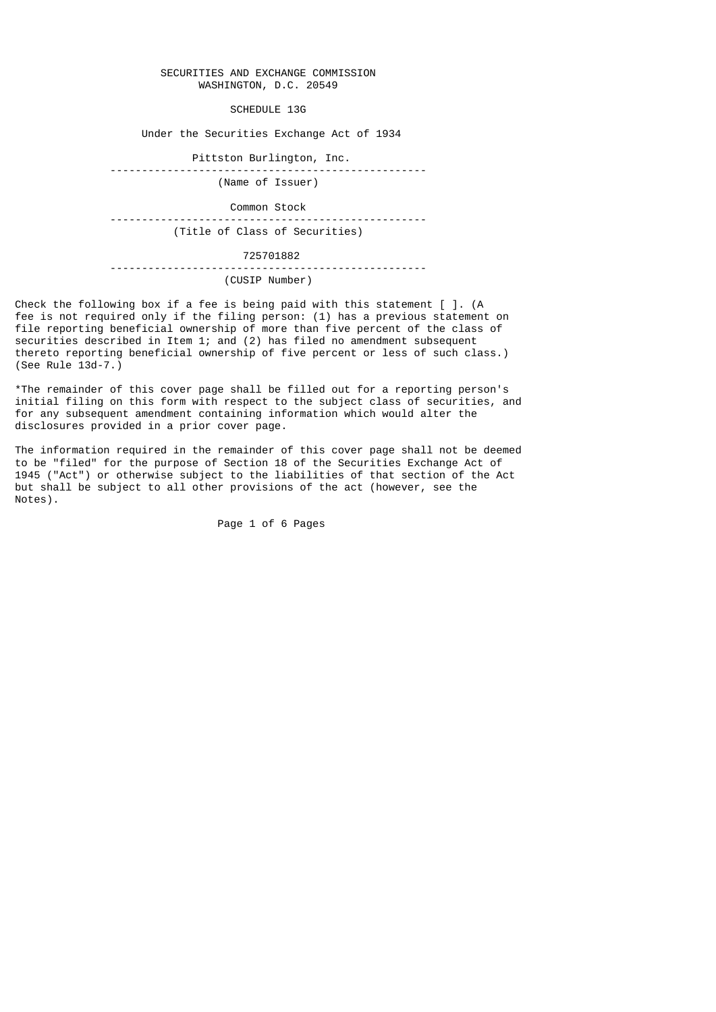## SECURITIES AND EXCHANGE COMMISSION WASHINGTON, D.C. 20549

SCHEDULE 13G

Under the Securities Exchange Act of 1934

Pittston Burlington, Inc.

 -------------------------------------------------- (Name of Issuer)

**Common Stock**<br>--------------------------------- -------------------------------------------------- (Title of Class of Securities)

 725701882 -------------------------------------------------- (CUSIP Number)

Check the following box if a fee is being paid with this statement [ ]. (A fee is not required only if the filing person: (1) has a previous statement on file reporting beneficial ownership of more than five percent of the class of securities described in Item 1; and (2) has filed no amendment subsequent thereto reporting beneficial ownership of five percent or less of such class.)  $(See Rule 13d-7.)$ 

\*The remainder of this cover page shall be filled out for a reporting person's initial filing on this form with respect to the subject class of securities, and for any subsequent amendment containing information which would alter the disclosures provided in a prior cover page.

The information required in the remainder of this cover page shall not be deemed to be "filed" for the purpose of Section 18 of the Securities Exchange Act of 1945 ("Act") or otherwise subject to the liabilities of that section of the Act but shall be subject to all other provisions of the act (however, see the Notes).

Page 1 of 6 Pages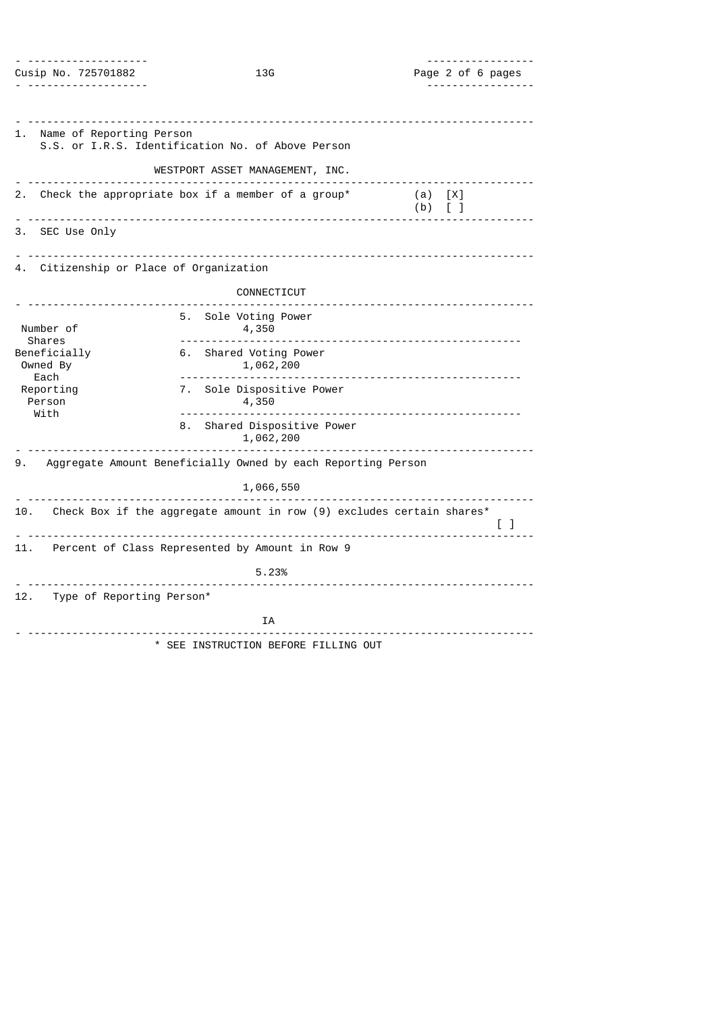| -------------------<br>Cusip No. 725701882                                                    | 13G                                                                   | -----------------<br>Page 2 of 6 pages |
|-----------------------------------------------------------------------------------------------|-----------------------------------------------------------------------|----------------------------------------|
| .                                                                                             |                                                                       | .                                      |
|                                                                                               |                                                                       |                                        |
| 1. Name of Reporting Person                                                                   | S.S. or I.R.S. Identification No. of Above Person                     |                                        |
|                                                                                               | WESTPORT ASSET MANAGEMENT, INC.                                       |                                        |
|                                                                                               | 2. Check the appropriate box if a member of a group*                  | (a) [X]<br>$(b)$ [ ]                   |
| 3. SEC Use Only                                                                               |                                                                       |                                        |
| 4. Citizenship or Place of Organization                                                       |                                                                       |                                        |
|                                                                                               | CONNECTICUT                                                           |                                        |
| Number of<br><b>Shares</b><br>Beneficially<br>Owned By<br>Each<br>Reporting<br>Person<br>With | 5. Sole Voting Power<br>4,350                                         |                                        |
|                                                                                               | 6. Shared Voting Power<br>1,062,200                                   |                                        |
|                                                                                               | 7. Sole Dispositive Power<br>4,350                                    |                                        |
|                                                                                               | 8. Shared Dispositive Power<br>1,062,200                              |                                        |
|                                                                                               | 9. Aggregate Amount Beneficially Owned by each Reporting Person       |                                        |
|                                                                                               | 1,066,550                                                             |                                        |
| 10.                                                                                           | Check Box if the aggregate amount in row (9) excludes certain shares* | $\begin{bmatrix} 1 \end{bmatrix}$      |
| 11.                                                                                           | Percent of Class Represented by Amount in Row 9                       |                                        |
|                                                                                               | 5.23%                                                                 |                                        |
| 12. Type of Reporting Person*                                                                 |                                                                       |                                        |
|                                                                                               | IA                                                                    | .                                      |
|                                                                                               | * SEE INSTRUCTION BEFORE FILLING OUT                                  |                                        |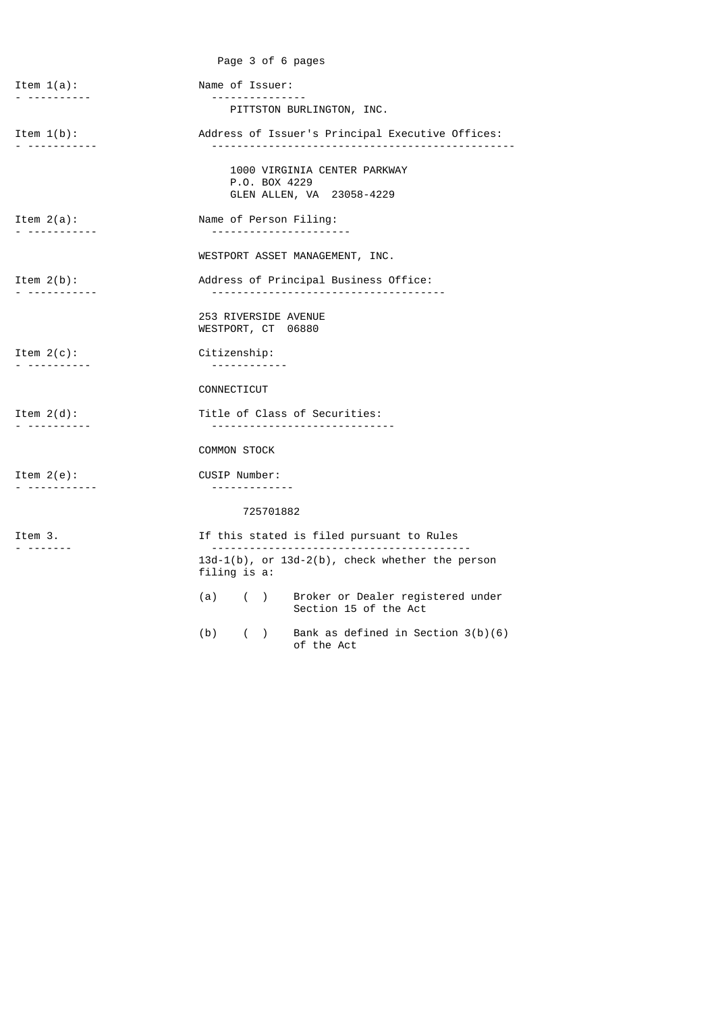|                                                | Page 3 of 6 pages                                                          |
|------------------------------------------------|----------------------------------------------------------------------------|
| Item $1(a)$ :                                  | Name of Issuer:<br><u> - - - - - - - - - - - - - - -</u>                   |
| .                                              | PITTSTON BURLINGTON, INC.                                                  |
| Item $1(b)$ :<br>. <i>.</i> .                  | Address of Issuer's Principal Executive Offices:                           |
|                                                | 1000 VIRGINIA CENTER PARKWAY<br>P.O. BOX 4229<br>GLEN ALLEN, VA 23058-4229 |
| Item $2(a)$ :<br>------------                  | Name of Person Filing:<br>----------------------                           |
|                                                | WESTPORT ASSET MANAGEMENT, INC.                                            |
| Item $2(b)$ :<br>------------                  | Address of Principal Business Office:<br>--------------------------------- |
|                                                | 253 RIVERSIDE AVENUE<br>WESTPORT, CT 06880                                 |
| Item $2(c)$ :<br>. <i>.</i> .                  | Citizenship:<br><u> - - - - - - - - - - - -</u>                            |
|                                                | CONNECTICUT                                                                |
| Item $2(d)$ :<br>----------                    | Title of Class of Securities:<br>------------------------------            |
|                                                | <b>COMMON STOCK</b>                                                        |
| Item $2(e)$ :<br><u> - - - - - - - - - - -</u> | CUSIP Number:                                                              |
|                                                | 725701882                                                                  |
| Item 3.<br>--------                            | If this stated is filed pursuant to Rules                                  |
|                                                | 13d-1(b), or 13d-2(b), check whether the person<br>filing is a:            |
|                                                | (a) ( ) Broker or Dealer registered under<br>Section 15 of the Act         |
|                                                | Bank as defined in Section $3(b)(6)$<br>(b)<br>$($ )<br>of the Act         |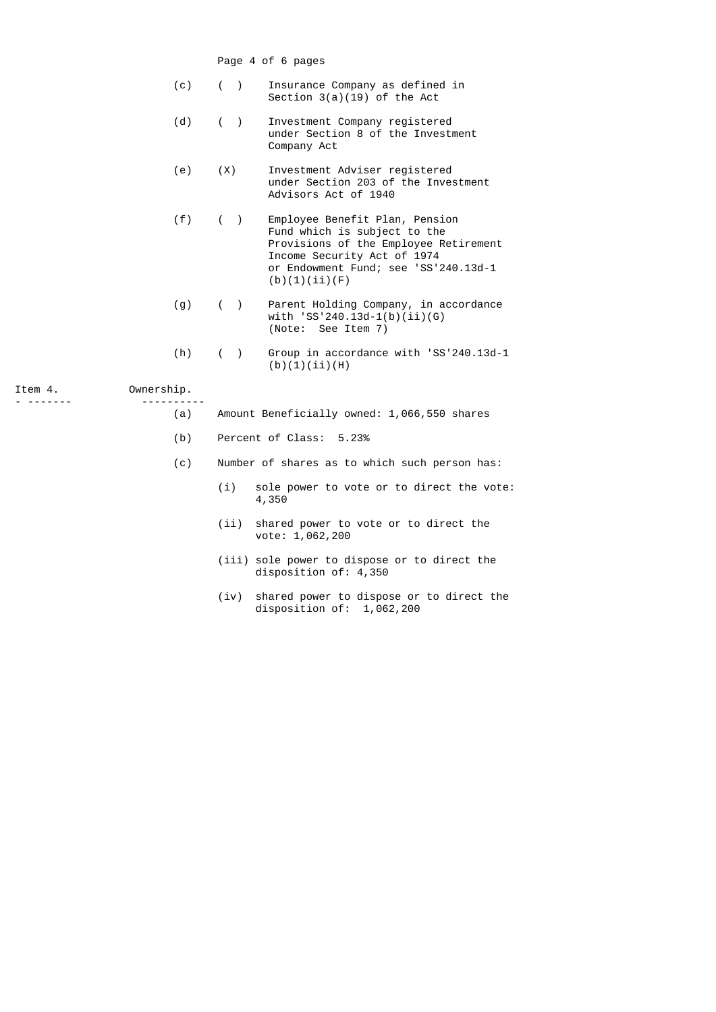Page 4 of 6 pages

|  |  | Insurance Company as defined in |
|--|--|---------------------------------|
|  |  | Section $3(a)(19)$ of the Act   |

- (d) ( ) Investment Company registered under Section 8 of the Investment Company Act
- (e) (X) Investment Adviser registered under Section 203 of the Investment Advisors Act of 1940
- (f) ( ) Employee Benefit Plan, Pension Fund which is subject to the Provisions of the Employee Retirement Income Security Act of 1974
	-
	-

|         |            |       |   | or Endowment Fund; see 'SS'240.13d-1<br>(b)(1)(ii)(F)                                         |
|---------|------------|-------|---|-----------------------------------------------------------------------------------------------|
|         | (g)        |       | ( | Parent Holding Company, in accordance<br>with $'SS'240.13d-1(b)(ii)(G)$<br>(Note: See Item 7) |
|         | (h)        | $($ ) |   | Group in accordance with 'SS'240.13d-1<br>(b)(1)(ii)(H)                                       |
| Item 4. | Ownership. |       |   |                                                                                               |

|         |            | (b)(1)(ii)(H)                     |  |
|---------|------------|-----------------------------------|--|
| Item 4. | Ownership. |                                   |  |
|         |            |                                   |  |
|         | (a)        | Amount Beneficially owned: 1,066, |  |

- (b) Percent of Class: 5.23%
- (c) Number of shares as to which such person has:
	- (i) sole power to vote or to direct the vote: 4,350

550 shares

- (ii) shared power to vote or to direct the vote: 1,062,200
- (iii) sole power to dispose or to direct the disposition of: 4,350
- (iv) shared power to dispose or to direct the disposition of:  $1,062,200$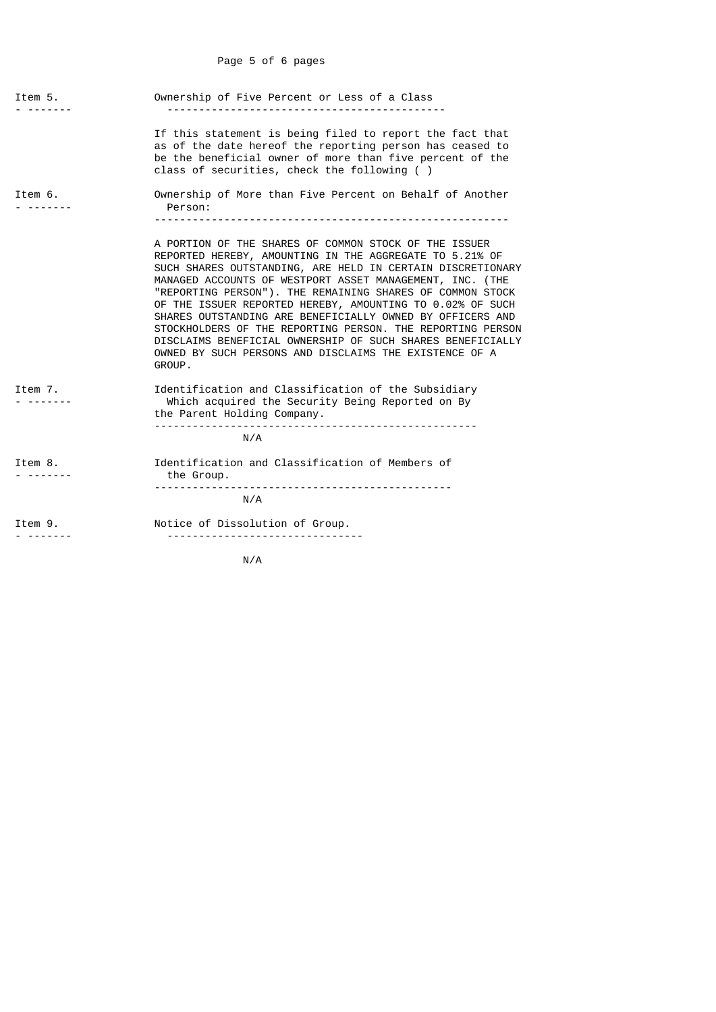## Page 5 of 6 pages

| Item 5. | Ownership of Five Percent or Less of a Class                                                                                                                                                                                                                                                                                                                                                                                                                                                                                                                                                                                      |
|---------|-----------------------------------------------------------------------------------------------------------------------------------------------------------------------------------------------------------------------------------------------------------------------------------------------------------------------------------------------------------------------------------------------------------------------------------------------------------------------------------------------------------------------------------------------------------------------------------------------------------------------------------|
|         | If this statement is being filed to report the fact that<br>as of the date hereof the reporting person has ceased to<br>be the beneficial owner of more than five percent of the<br>class of securities, check the following ()                                                                                                                                                                                                                                                                                                                                                                                                   |
| Item 6. | Ownership of More than Five Percent on Behalf of Another<br>Person:                                                                                                                                                                                                                                                                                                                                                                                                                                                                                                                                                               |
|         | A PORTION OF THE SHARES OF COMMON STOCK OF THE ISSUER<br>REPORTED HEREBY, AMOUNTING IN THE AGGREGATE TO 5.21% OF<br>SUCH SHARES OUTSTANDING, ARE HELD IN CERTAIN DISCRETIONARY<br>MANAGED ACCOUNTS OF WESTPORT ASSET MANAGEMENT, INC. (THE<br>"REPORTING PERSON"). THE REMAINING SHARES OF COMMON STOCK<br>OF THE ISSUER REPORTED HEREBY, AMOUNTING TO 0.02% OF SUCH<br>SHARES OUTSTANDING ARE BENEFICIALLY OWNED BY OFFICERS AND<br>STOCKHOLDERS OF THE REPORTING PERSON. THE REPORTING PERSON<br>DISCLAIMS BENEFICIAL OWNERSHIP OF SUCH SHARES BENEFICIALLY<br>OWNED BY SUCH PERSONS AND DISCLAIMS THE EXISTENCE OF A<br>GROUP. |
| Item 7. | Identification and Classification of the Subsidiary<br>Which acquired the Security Being Reported on By<br>the Parent Holding Company.                                                                                                                                                                                                                                                                                                                                                                                                                                                                                            |
|         | N/A                                                                                                                                                                                                                                                                                                                                                                                                                                                                                                                                                                                                                               |
| Item 8. | Identification and Classification of Members of<br>the Group.                                                                                                                                                                                                                                                                                                                                                                                                                                                                                                                                                                     |
|         | N/A                                                                                                                                                                                                                                                                                                                                                                                                                                                                                                                                                                                                                               |
| Item 9. | Notice of Dissolution of Group.<br>--------------------------------                                                                                                                                                                                                                                                                                                                                                                                                                                                                                                                                                               |

N/A